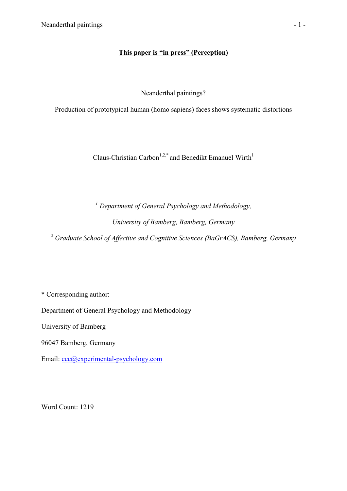## **This paper is "in press" (Perception)**

Neanderthal paintings?

Production of prototypical human (homo sapiens) faces shows systematic distortions

Claus-Christian Carbon<sup>1,2,\*</sup> and Benedikt Emanuel Wirth<sup>1</sup>

*<sup>1</sup> Department of General Psychology and Methodology, University of Bamberg, Bamberg, Germany* 

*<sup>2</sup> Graduate School of Affective and Cognitive Sciences (BaGrACS), Bamberg, Germany* 

\* Corresponding author:

Department of General Psychology and Methodology

University of Bamberg

96047 Bamberg, Germany

Email: [ccc@experimental-psychology.com](mailto:ccc@experimental-psychology.com)

Word Count: 1219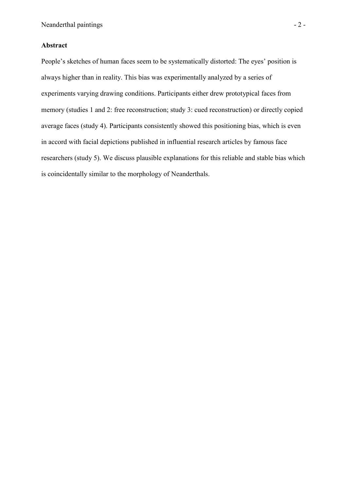## **Abstract**

People's sketches of human faces seem to be systematically distorted: The eyes' position is always higher than in reality. This bias was experimentally analyzed by a series of experiments varying drawing conditions. Participants either drew prototypical faces from memory (studies 1 and 2: free reconstruction; study 3: cued reconstruction) or directly copied average faces (study 4). Participants consistently showed this positioning bias, which is even in accord with facial depictions published in influential research articles by famous face researchers (study 5). We discuss plausible explanations for this reliable and stable bias which is coincidentally similar to the morphology of Neanderthals.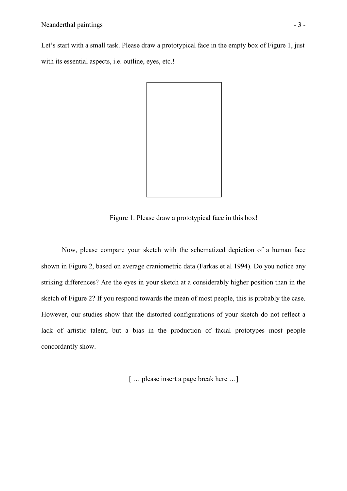Let's start with a small task. Please draw a prototypical face in the empty box of Figure 1, just with its essential aspects, i.e. outline, eyes, etc.!



Figure 1. Please draw a prototypical face in this box!

Now, please compare your sketch with the schematized depiction of a human face shown in Figure 2, based on average craniometric data (Farkas et al 1994). Do you notice any striking differences? Are the eyes in your sketch at a considerably higher position than in the sketch of Figure 2? If you respond towards the mean of most people, this is probably the case. However, our studies show that the distorted configurations of your sketch do not reflect a lack of artistic talent, but a bias in the production of facial prototypes most people concordantly show.

[ ... please insert a page break here ...]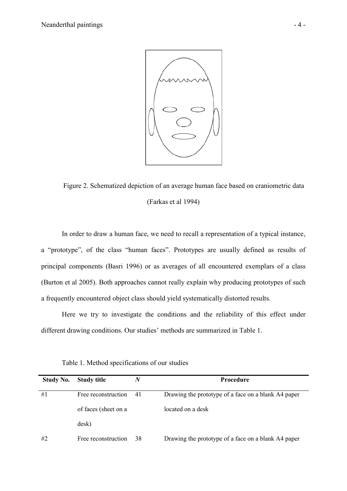

Figure 2. Schematized depiction of an average human face based on craniometric data (Farkas et al 1994)

In order to draw a human face, we need to recall a representation of a typical instance, a "prototype", of the class "human faces". Prototypes are usually defined as results of principal components (Basri 1996) or as averages of all encountered exemplars of a class (Burton et al 2005). Both approaches cannot really explain why producing prototypes of such a frequently encountered object class should yield systematically distorted results.

Here we try to investigate the conditions and the reliability of this effect under different drawing conditions. Our studies' methods are summarized in Table 1.

| <b>Study No.</b> | <b>Study title</b>   | N  | <b>Procedure</b>                                    |  |  |
|------------------|----------------------|----|-----------------------------------------------------|--|--|
| #1               | Free reconstruction  | 41 | Drawing the prototype of a face on a blank A4 paper |  |  |
|                  | of faces (sheet on a |    | located on a desk                                   |  |  |
|                  | desk)                |    |                                                     |  |  |
| #2               | Free reconstruction  | 38 | Drawing the prototype of a face on a blank A4 paper |  |  |

Table 1. Method specifications of our studies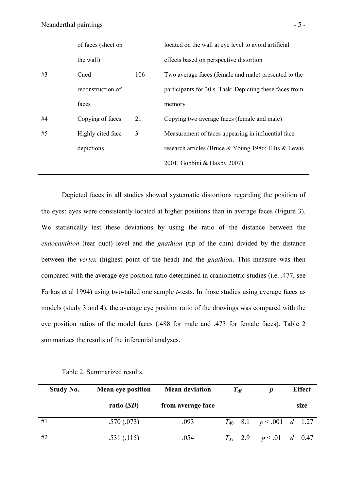|    | of faces (sheet on |     | located on the wall at eye level to avoid artificial    |
|----|--------------------|-----|---------------------------------------------------------|
|    | the wall)          |     | effects based on perspective distortion                 |
| #3 | Cued               | 106 | Two average faces (female and male) presented to the    |
|    | reconstruction of  |     | participants for 30 s. Task: Depicting these faces from |
|    | faces              |     | memory                                                  |
| #4 | Copying of faces   | 21  | Copying two average faces (female and male)             |
| #5 | Highly cited face  | 3   | Measurement of faces appearing in influential face      |
|    | depictions         |     | research articles (Bruce & Young 1986; Ellis & Lewis    |
|    |                    |     | 2001; Gobbini & Haxby 2007)                             |
|    |                    |     |                                                         |

Depicted faces in all studies showed systematic distortions regarding the position of the eyes: eyes were consistently located at higher positions than in average faces (Figure 3). We statistically test these deviations by using the ratio of the distance between the *endocanthion* (tear duct) level and the *gnathion* (tip of the chin) divided by the distance between the *vertex* (highest point of the head) and the *gnathion*. This measure was then compared with the average eye position ratio determined in craniometric studies (i.e. .477, see Farkas et al 1994) using two-tailed one sample *t*-tests. In those studies using average faces as models (study 3 and 4), the average eye position ratio of the drawings was compared with the eye position ratios of the model faces (.488 for male and .473 for female faces). Table 2 summarizes the results of the inferential analyses.

| <b>Study No.</b> | <b>Mean eye position</b> | <b>Mean deviation</b> | $T_{\rm df}$                         | $\bm{p}$ | <b>Effect</b> |
|------------------|--------------------------|-----------------------|--------------------------------------|----------|---------------|
|                  | ratio $(SD)$             | from average face     |                                      |          | size          |
| #1               | .570(.073)               | .093                  | $T_{40} = 8.1$ $p < .001$ $d = 1.27$ |          |               |
| #2               | .531(.115)               | .054                  | $T_{37} = 2.9$ $p < .01$ $d = 0.47$  |          |               |

Table 2. Summarized results.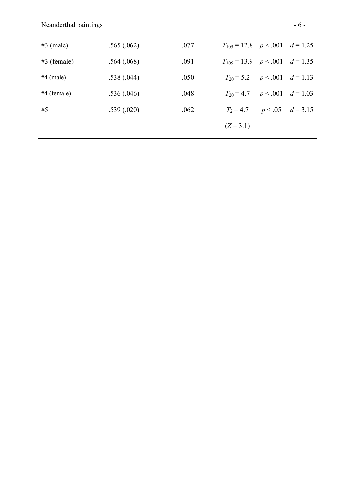| $#3$ (male)   | .565(.062) | .077 | $T_{105} = 12.8$ $p < .001$ $d = 1.25$ |  |
|---------------|------------|------|----------------------------------------|--|
| $#3$ (female) | .564(.068) | .091 | $T_{105} = 13.9$ $p < .001$ $d = 1.35$ |  |
| $#4$ (male)   | .538(.044) | .050 | $T_{20} = 5.2$ $p < .001$ $d = 1.13$   |  |
| $#4$ (female) | .536(.046) | .048 | $T_{20} = 4.7$ $p < .001$ $d = 1.03$   |  |
| #5            | .539(.020) | .062 | $T_2 = 4.7$ $p < .05$ $d = 3.15$       |  |
|               |            |      | $(Z = 3.1)$                            |  |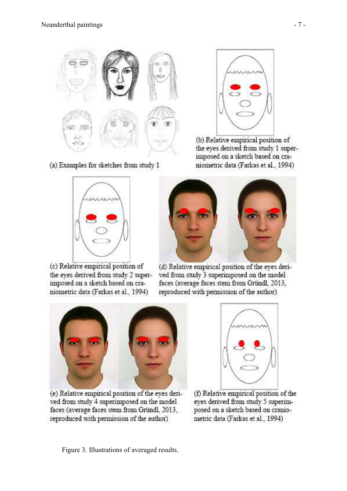

(a) Examples for sketches from study 1



(c) Relative empirical position of the eyes derived from study 2 superimposed on a sketch based on craniometric data (Farkas et al., 1994)



(b) Relative empirical position of the eyes derived from study 1 superimposed on a sketch based on craniometric data (Farkas et al., 1994)



(d) Relative empirical position of the eyes derived from study 3 superimposed on the model faces (average faces stem from Gründl, 2013, reproduced with permission of the author)



(e) Relative empirical position of the eyes derived from study 4 superimposed on the model faces (average faces stem from Gründl, 2013, reproduced with permission of the author)



(f) Relative empirical position of the eyes derived from study 5 superimposed on a sketch based on craniometric data (Farkas et al., 1994)

Figure 3. Illustrations of averaged results.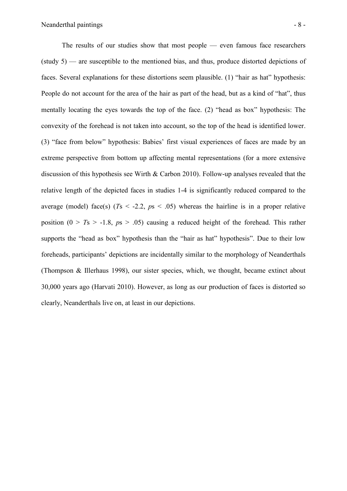The results of our studies show that most people — even famous face researchers (study 5) — are susceptible to the mentioned bias, and thus, produce distorted depictions of faces. Several explanations for these distortions seem plausible. (1) "hair as hat" hypothesis: People do not account for the area of the hair as part of the head, but as a kind of "hat", thus mentally locating the eyes towards the top of the face. (2) "head as box" hypothesis: The convexity of the forehead is not taken into account, so the top of the head is identified lower. (3) "face from below" hypothesis: Babies' first visual experiences of faces are made by an extreme perspective from bottom up affecting mental representations (for a more extensive discussion of this hypothesis see Wirth & Carbon 2010). Follow-up analyses revealed that the relative length of the depicted faces in studies 1-4 is significantly reduced compared to the average (model) face(s)  $(Ts < -2.2, ps < .05)$  whereas the hairline is in a proper relative position  $(0 > T_s > -1.8, p_s > .05)$  causing a reduced height of the forehead. This rather supports the "head as box" hypothesis than the "hair as hat" hypothesis". Due to their low foreheads, participants' depictions are incidentally similar to the morphology of Neanderthals (Thompson & Illerhaus 1998), our sister species, which, we thought, became extinct about 30,000 years ago (Harvati 2010). However, as long as our production of faces is distorted so clearly, Neanderthals live on, at least in our depictions.